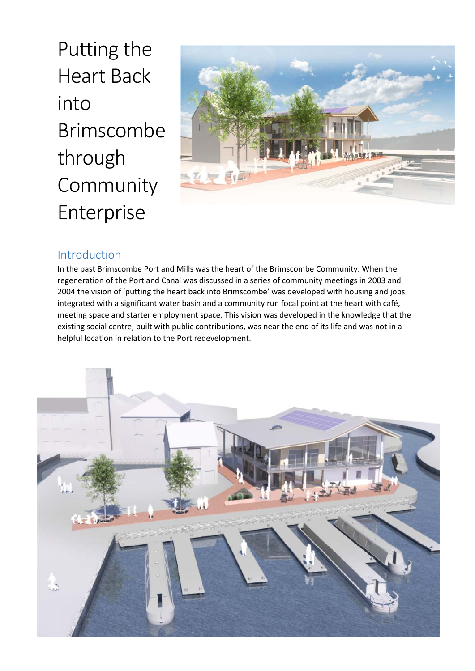Putting the Heart Back into Brimscombe through Community Enterprise



## Introduction

In the past Brimscombe Port and Mills was the heart of the Brimscombe Community. When the regeneration of the Port and Canal was discussed in a series of community meetings in 2003 and 2004 the vision of 'putting the heart back into Brimscombe' was developed with housing and jobs integrated with a significant water basin and a community run focal point at the heart with café, meeting space and starter employment space. This vision was developed in the knowledge that the existing social centre, built with public contributions, was near the end of its life and was not in a helpful location in relation to the Port redevelopment.

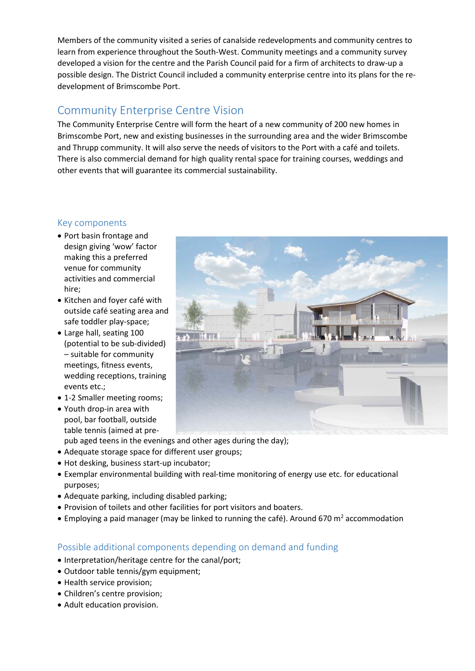Members of the community visited a series of canalside redevelopments and community centres to learn from experience throughout the South-West. Community meetings and a community survey developed a vision for the centre and the Parish Council paid for a firm of architects to draw-up a possible design. The District Council included a community enterprise centre into its plans for the redevelopment of Brimscombe Port.

## Community Enterprise Centre Vision

The Community Enterprise Centre will form the heart of a new community of 200 new homes in Brimscombe Port, new and existing businesses in the surrounding area and the wider Brimscombe and Thrupp community. It will also serve the needs of visitors to the Port with a café and toilets. There is also commercial demand for high quality rental space for training courses, weddings and other events that will guarantee its commercial sustainability.

## Key components

- Port basin frontage and design giving 'wow' factor making this a preferred venue for community activities and commercial hire;
- Kitchen and foyer café with outside café seating area and safe toddler play-space;
- Large hall, seating 100 (potential to be sub-divided) – suitable for community meetings, fitness events, wedding receptions, training events etc.;
- 1-2 Smaller meeting rooms;
- Youth drop-in area with pool, bar football, outside table tennis (aimed at pre-
- pub aged teens in the evenings and other ages during the day); Adequate storage space for different user groups;
- Hot desking, business start-up incubator;
- Exemplar environmental building with real-time monitoring of energy use etc. for educational purposes;
- Adequate parking, including disabled parking;
- Provision of toilets and other facilities for port visitors and boaters.
- $\bullet$  Employing a paid manager (may be linked to running the café). Around 670 m<sup>2</sup> accommodation

## Possible additional components depending on demand and funding

- Interpretation/heritage centre for the canal/port;
- Outdoor table tennis/gym equipment;
- Health service provision;
- Children's centre provision;
- Adult education provision.